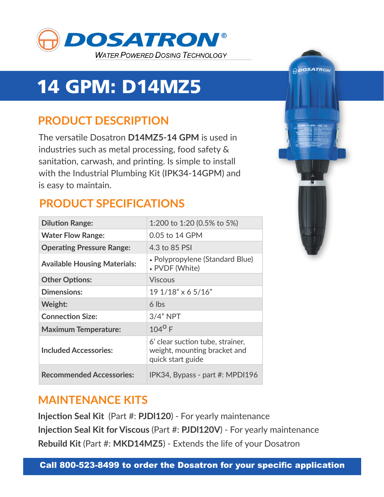

## 14 GPM: D14MZ5

## **PRODUCT DESCRIPTION**

The versatile Dosatron **D14MZ5-14 GPM** is used in industries such as metal processing, food safety & sanitation, carwash, and printing. Is simple to install with the Industrial Plumbing Kit (IPK34-14GPM) and is easy to maintain.

### **PRODUCT SPECIFICATIONS**

| <b>Dilution Range:</b>              | 1:200 to 1:20 (0.5% to 5%)                                                            |
|-------------------------------------|---------------------------------------------------------------------------------------|
| <b>Water Flow Range:</b>            | 0.05 to 14 GPM                                                                        |
| <b>Operating Pressure Range:</b>    | 4.3 to 85 PSI                                                                         |
| <b>Available Housing Materials:</b> | • Polypropylene (Standard Blue)<br>• PVDF (White)                                     |
| <b>Other Options:</b>               | <b>Viscous</b>                                                                        |
| Dimensions:                         | 19 1/18" x 6 5/16"                                                                    |
| Weight:                             | 6 lbs                                                                                 |
| <b>Connection Size:</b>             | $3/4"$ NPT                                                                            |
|                                     |                                                                                       |
| <b>Maximum Temperature:</b>         | $104^{\circ}$ F                                                                       |
| <b>Included Accessories:</b>        | 6' clear suction tube, strainer,<br>weight, mounting bracket and<br>quick start guide |



#### **MAINTENANCE KITS**

**Injection Seal Kit** (Part #: **PJDl120**) - For yearly maintenance **Injection Seal Kit for Viscous** (Part #: **PJDl120V**) - For yearly maintenance **Rebuild Kit** (Part #: **MKD14MZ5**) - Extends the life of your Dosatron